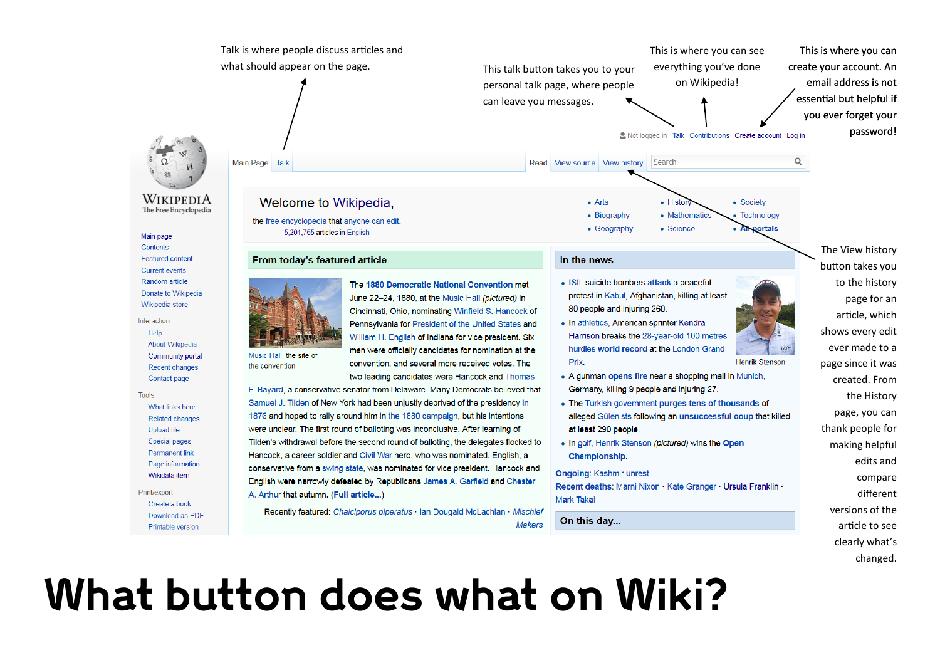

Recently featured: Chalciporus piperatus · Ian Dougald McLachlan · Mischief

What button does what on Wiki?

Download as PDF

Printable version

On this day...

article to see

clearly what's changed.

**Makers**